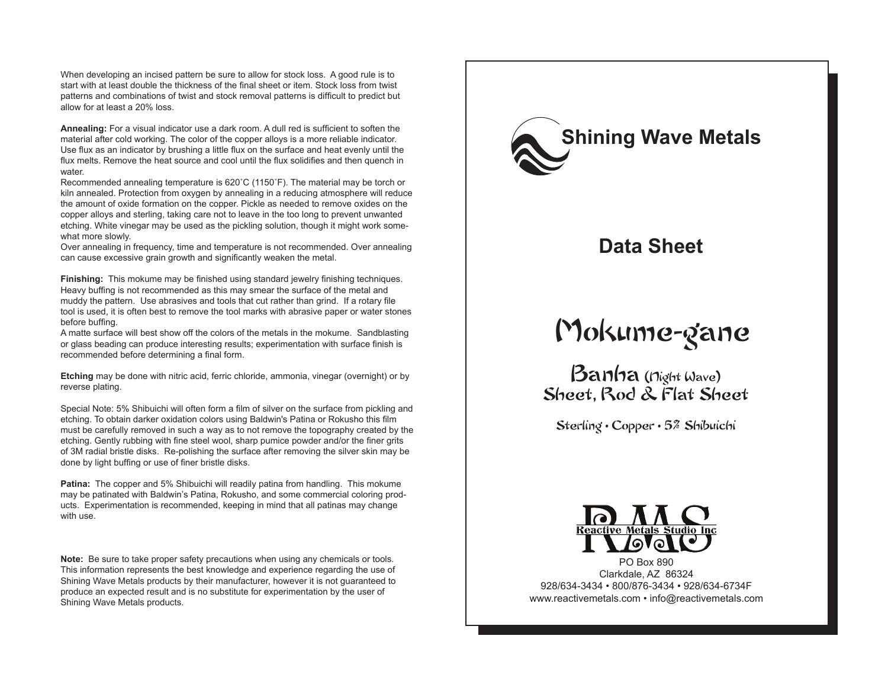When developing an incised pattern be sure to allow for stock loss. A good rule is to start with at least double the thickness of the final sheet or item. Stock loss from twist patterns and combinations of twist and stock removal patterns is difficult to predict but allow for at least a 20% loss.

**Annealing:** For a visual indicator use a dark room. A dull red is sufficient to soften the material after cold working. The color of the copper alloys is a more reliable indicator. Use flux as an indicator by brushing a little flux on the surface and heat evenly until the flux melts. Remove the heat source and cool until the flux solidifies and then quench in water.

Recommended annealing temperature is 620˚C (1150˚F). The material may be torch or kiln annealed. Protection from oxygen by annealing in a reducing atmosphere will reduce the amount of oxide formation on the copper. Pickle as needed to remove oxides on the copper alloys and sterling, taking care not to leave in the too long to prevent unwanted etching. White vinegar may be used as the pickling solution, though it might work somewhat more slowly.

Over annealing in frequency, time and temperature is not recommended. Over annealing can cause excessive grain growth and significantly weaken the metal.

**Finishing:** This mokume may be finished using standard jewelry finishing techniques. Heavy buffing is not recommended as this may smear the surface of the metal and muddy the pattern. Use abrasives and tools that cut rather than grind. If a rotary file tool is used, it is often best to remove the tool marks with abrasive paper or water stones before buffing.

A matte surface will best show off the colors of the metals in the mokume. Sandblasting or glass beading can produce interesting results; experimentation with surface finish is recommended before determining a final form.

**Etching** may be done with nitric acid, ferric chloride, ammonia, vinegar (overnight) or by reverse plating.

Special Note: 5% Shibuichi will often form a film of silver on the surface from pickling and etching. To obtain darker oxidation colors using Baldwin's Patina or Rokusho this film must be carefully removed in such a way as to not remove the topography created by the etching. Gently rubbing with fine steel wool, sharp pumice powder and/or the finer grits of 3M radial bristle disks. Re-polishing the surface after removing the silver skin may be done by light buffing or use of finer bristle disks.

**Patina:** The copper and 5% Shibuichi will readily patina from handling. This mokume may be patinated with Baldwin's Patina, Rokusho, and some commercial coloring products. Experimentation is recommended, keeping in mind that all patinas may change with use.

**Note:** Be sure to take proper safety precautions when using any chemicals or tools. This information represents the best knowledge and experience regarding the use of Shining Wave Metals products by their manufacturer, however it is not guaranteed to produce an expected result and is no substitute for experimentation by the user of Shining Wave Metals products.



### **Data Sheet**

# Mokume-gane

Banha (Night Wave) Sheet, Rod & Flat Sheet

Sterling • Copper • 5% Shibuichi



PO Box 890 Clarkdale, AZ 86324 928/634-3434 • 800/876-3434 • 928/634-6734F www.reactivemetals.com • info@reactivemetals.com